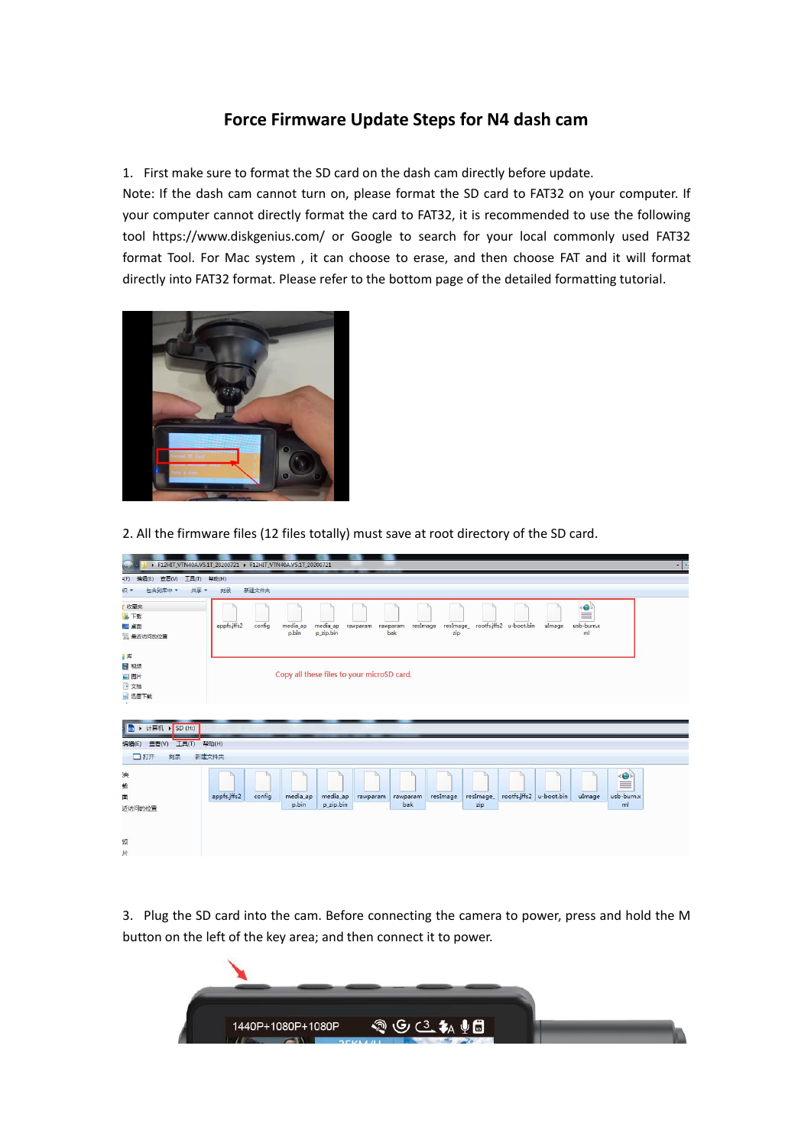## **Force Firmware Update Steps for N4 dash cam**

1. First make sure to format the SD card on the dash cam directly before update.

Note: If the dash cam cannot turn on, please format the SD card to FAT32 on your computer. If your computer cannot directly format the card to FAT32, it is recommended to use the following tool https://www.diskgenius.com/ or Google to search for your local commonly used FAT32 format Tool. For Mac system , it can choose to erase, and then choose FAT and it will format directly into FAT32 format. Please refer to the bottom page of the detailed formatting tutorial.



2. All the firmware files (12 files totally) must save at root directory of the SD card.

|                                                             | ▶ F12HIT_VTN40A.V5.1T_20200721 ▶ F12HIT_VTN40A.V5.1T_20200721                                                                                                                                         | $\bullet$ $\frac{1}{2}$ |  |  |  |  |  |  |
|-------------------------------------------------------------|-------------------------------------------------------------------------------------------------------------------------------------------------------------------------------------------------------|-------------------------|--|--|--|--|--|--|
| 查看(V) 工具(T) 帮助(H)<br>E(F)<br>编辑(E)<br>共享 ▼<br>包含到库中 ▼<br>织一 | 刻录<br>新建文件夹                                                                                                                                                                                           |                         |  |  |  |  |  |  |
| 收藏夹<br>A 下载<br>三桌面<br>图 最近访问的位置                             | <e><br/>appfs.jffs2<br/>config<br/>media_ap<br/>rawparam rawparam resImage resImage rootfs.jffs2 u-boot.bin<br/>usb-burn.x<br/>media_ap<br/>uImage<br/>p.bin<br/>p_zip.bin<br/>bak<br/>zip<br/>ml</e> |                         |  |  |  |  |  |  |
| 库<br>图 视频<br>日图片<br>2 文档<br>■ 迅雷下载                          | Copy all these files to your microSD card.                                                                                                                                                            |                         |  |  |  |  |  |  |
| an → 计算机 → SD (H:)<br>编辑(E) 查看(V)<br>工具(T) 帮助(H)            |                                                                                                                                                                                                       |                         |  |  |  |  |  |  |
| 口打开<br>刻录                                                   | 新建文件夹                                                                                                                                                                                                 |                         |  |  |  |  |  |  |
| 夹<br>载<br>面<br>近访问的位置                                       | $\leq$<br>≣<br>appfs.jffs2<br>config<br>media_ap<br>resImage_ rootfs.jffs2 u-boot.bin<br>media_ap<br>usb-burn.x<br>resImage<br>rawparam rawparam<br>ulmage<br>p.bin<br>p_zip.bin<br>bak<br>zip<br>ml  |                         |  |  |  |  |  |  |
| 频<br>片                                                      |                                                                                                                                                                                                       |                         |  |  |  |  |  |  |

3. Plug the SD card into the cam. Before connecting the camera to power, press and hold the M button on the left of the key area; and then connect it to power.

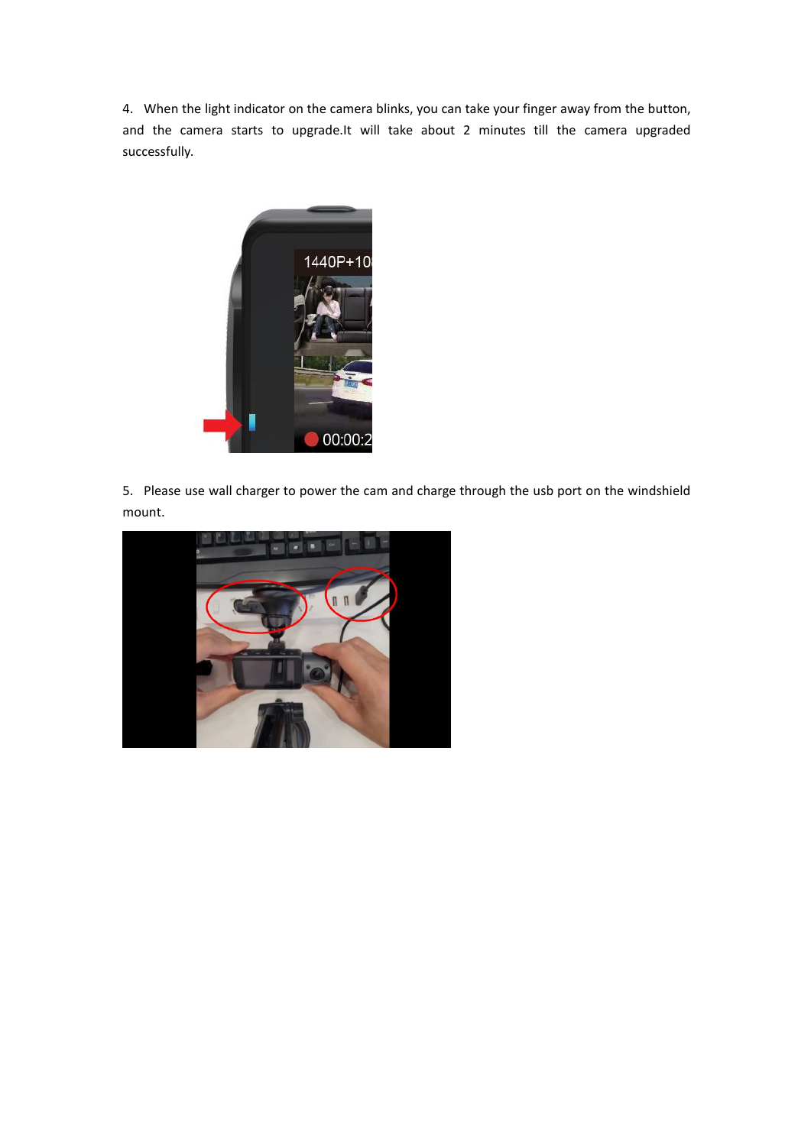4. When the light indicator on the camera blinks, you can take your finger away from the button, and the camera starts to upgrade.It will take about 2 minutes till the camera upgraded successfully.



5. Please use wall charger to power the cam and charge through the usb port on the windshield mount.

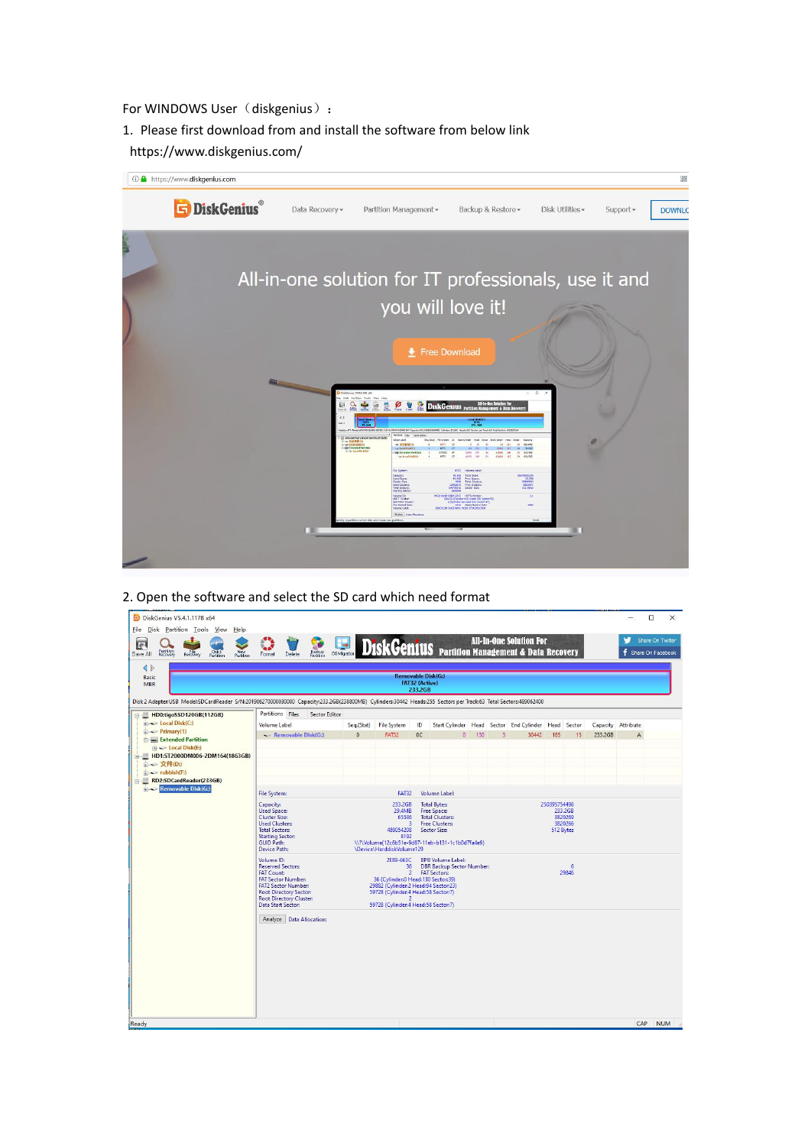For WINDOWS User (diskgenius):

1. Please first download from and install the software from below link https://www.diskgenius.com/



2. Open the software and select the SD card which need format

| 233.2GB<br>Disk 2 Adapter:USB Model:SDCardReader S/N:201906270000030000 Capacity:233.2GB(238800MB) Cylinders:30442 Heads:255 Sectors per Track:63 Total Sectors:489062400<br><b>Sector Editor</b><br><b>File System</b><br>Seq.(Stat)<br>ID.<br>Start Cylinder Head Sector End Cylinder Head Sector<br>Capacity Attribute<br>$\Omega$<br>OC<br>$\sim$ Removable Disk(G:)<br><b>FAT32</b><br>$0\quad 130$<br>$\overline{\mathbf{3}}$<br>30442<br>185<br>15<br>233.2GB<br>$\mathsf{A}$<br><b>FAT32</b><br>Volume Label:<br>233.2GB<br>250395754496<br><b>Total Bytes:</b><br>29.4MB<br>Free Space:<br>233,2GB<br>3820269<br><b>Total Clusters:</b><br>65536<br><b>Free Clusters:</b><br>3820266<br>R<br>489054208<br>Sector Size:<br>512 Bytes |  |  |  |  |  |  |  |  |
|----------------------------------------------------------------------------------------------------------------------------------------------------------------------------------------------------------------------------------------------------------------------------------------------------------------------------------------------------------------------------------------------------------------------------------------------------------------------------------------------------------------------------------------------------------------------------------------------------------------------------------------------------------------------------------------------------------------------------------------------|--|--|--|--|--|--|--|--|
|                                                                                                                                                                                                                                                                                                                                                                                                                                                                                                                                                                                                                                                                                                                                              |  |  |  |  |  |  |  |  |
|                                                                                                                                                                                                                                                                                                                                                                                                                                                                                                                                                                                                                                                                                                                                              |  |  |  |  |  |  |  |  |
|                                                                                                                                                                                                                                                                                                                                                                                                                                                                                                                                                                                                                                                                                                                                              |  |  |  |  |  |  |  |  |
|                                                                                                                                                                                                                                                                                                                                                                                                                                                                                                                                                                                                                                                                                                                                              |  |  |  |  |  |  |  |  |
|                                                                                                                                                                                                                                                                                                                                                                                                                                                                                                                                                                                                                                                                                                                                              |  |  |  |  |  |  |  |  |
|                                                                                                                                                                                                                                                                                                                                                                                                                                                                                                                                                                                                                                                                                                                                              |  |  |  |  |  |  |  |  |
|                                                                                                                                                                                                                                                                                                                                                                                                                                                                                                                                                                                                                                                                                                                                              |  |  |  |  |  |  |  |  |
|                                                                                                                                                                                                                                                                                                                                                                                                                                                                                                                                                                                                                                                                                                                                              |  |  |  |  |  |  |  |  |
|                                                                                                                                                                                                                                                                                                                                                                                                                                                                                                                                                                                                                                                                                                                                              |  |  |  |  |  |  |  |  |
|                                                                                                                                                                                                                                                                                                                                                                                                                                                                                                                                                                                                                                                                                                                                              |  |  |  |  |  |  |  |  |
|                                                                                                                                                                                                                                                                                                                                                                                                                                                                                                                                                                                                                                                                                                                                              |  |  |  |  |  |  |  |  |
|                                                                                                                                                                                                                                                                                                                                                                                                                                                                                                                                                                                                                                                                                                                                              |  |  |  |  |  |  |  |  |
| <b>Total Sectors:</b><br><b>Starting Sector:</b><br>8192                                                                                                                                                                                                                                                                                                                                                                                                                                                                                                                                                                                                                                                                                     |  |  |  |  |  |  |  |  |
| \\?\Volume{12c6b51e-9d87-11eb-b131-1c1b0d7fa4e9}<br><b>GUID Path:</b><br><b>Device Path:</b><br>\Device\HarddiskVolume129                                                                                                                                                                                                                                                                                                                                                                                                                                                                                                                                                                                                                    |  |  |  |  |  |  |  |  |
| 2E89-663C<br><b>BPB Volume Label:</b>                                                                                                                                                                                                                                                                                                                                                                                                                                                                                                                                                                                                                                                                                                        |  |  |  |  |  |  |  |  |
| 36 <sup>°</sup><br><b>DBR Backup Sector Number:</b><br>6<br>29846<br>$\overline{2}$<br><b>FAT Sectors:</b>                                                                                                                                                                                                                                                                                                                                                                                                                                                                                                                                                                                                                                   |  |  |  |  |  |  |  |  |
| <b>FAT Count:</b><br><b>FAT Sector Number:</b><br>36 (Cylinder:0 Head:130 Sector:39)<br><b>FAT2 Sector Number:</b><br>29882 (Cylinder:2 Head:94 Sector:23)                                                                                                                                                                                                                                                                                                                                                                                                                                                                                                                                                                                   |  |  |  |  |  |  |  |  |
| <b>Root Directory Sector:</b><br>59728 (Cylinder:4 Head:58 Sector:7)                                                                                                                                                                                                                                                                                                                                                                                                                                                                                                                                                                                                                                                                         |  |  |  |  |  |  |  |  |
| <b>Root Directory Cluster:</b><br>Data Start Sector:<br>59728 (Cylinder:4 Head:58 Sector:7)                                                                                                                                                                                                                                                                                                                                                                                                                                                                                                                                                                                                                                                  |  |  |  |  |  |  |  |  |
|                                                                                                                                                                                                                                                                                                                                                                                                                                                                                                                                                                                                                                                                                                                                              |  |  |  |  |  |  |  |  |
|                                                                                                                                                                                                                                                                                                                                                                                                                                                                                                                                                                                                                                                                                                                                              |  |  |  |  |  |  |  |  |
| Analyze Data Allocation:                                                                                                                                                                                                                                                                                                                                                                                                                                                                                                                                                                                                                                                                                                                     |  |  |  |  |  |  |  |  |
|                                                                                                                                                                                                                                                                                                                                                                                                                                                                                                                                                                                                                                                                                                                                              |  |  |  |  |  |  |  |  |
|                                                                                                                                                                                                                                                                                                                                                                                                                                                                                                                                                                                                                                                                                                                                              |  |  |  |  |  |  |  |  |
|                                                                                                                                                                                                                                                                                                                                                                                                                                                                                                                                                                                                                                                                                                                                              |  |  |  |  |  |  |  |  |
|                                                                                                                                                                                                                                                                                                                                                                                                                                                                                                                                                                                                                                                                                                                                              |  |  |  |  |  |  |  |  |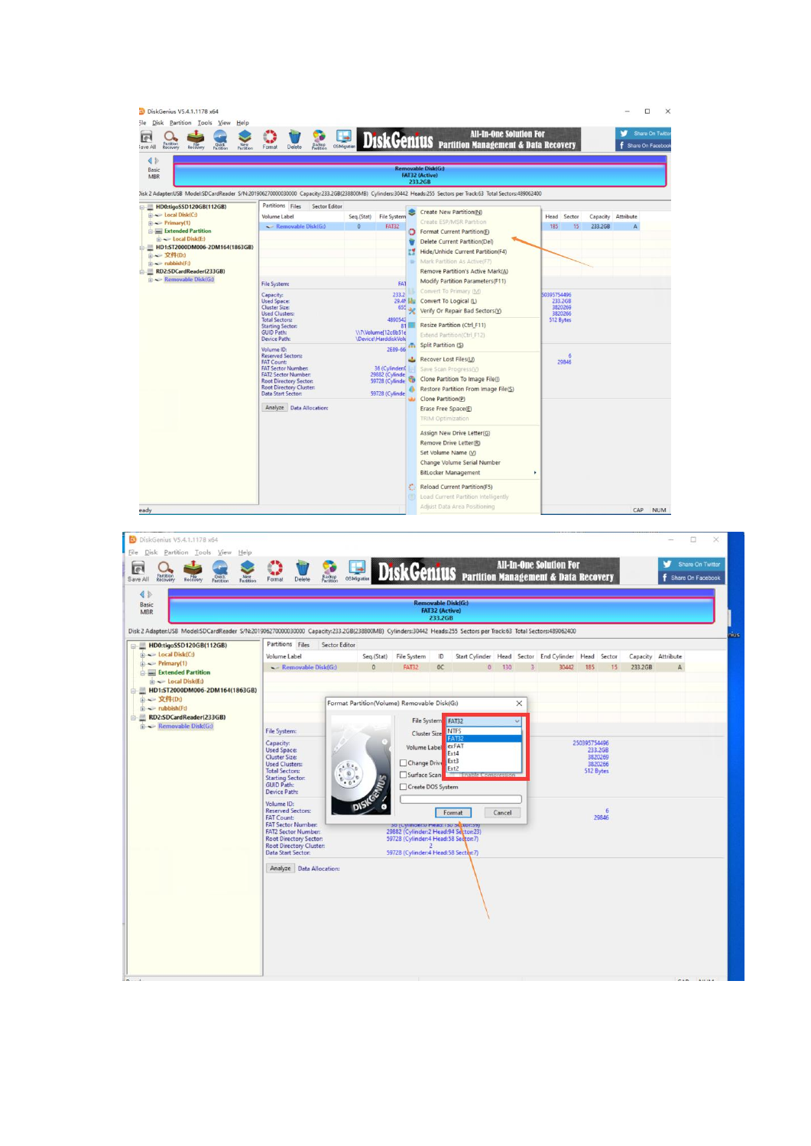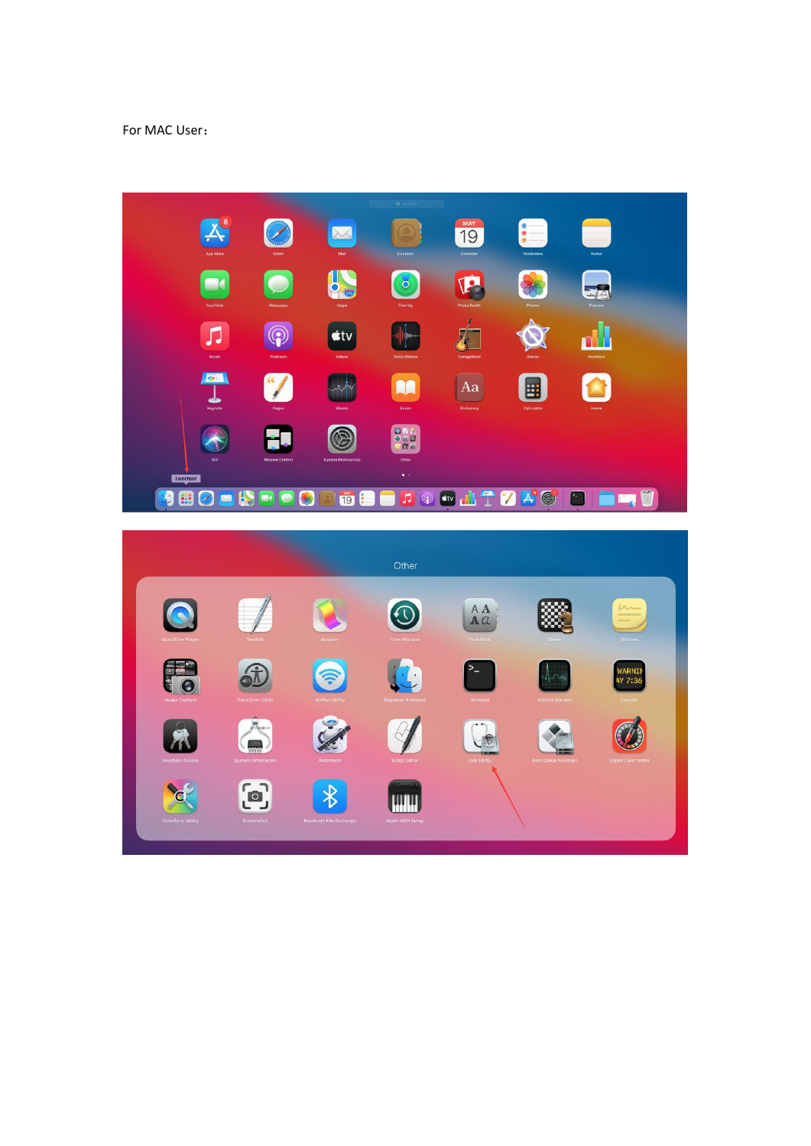## For MAC User:

![](_page_4_Picture_1.jpeg)

![](_page_4_Picture_2.jpeg)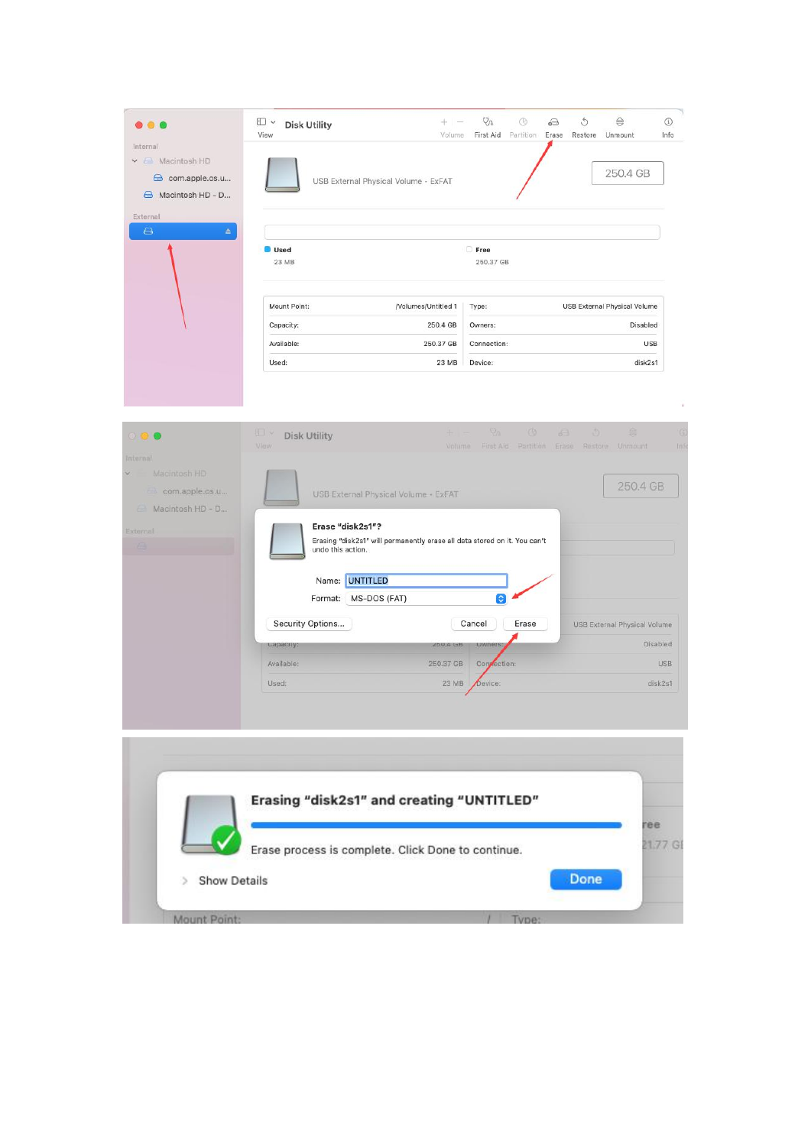| $\bullet$ $\bullet$ $\bullet$<br>Internal<br>$\vee$ $\ominus$ Macintosh HD<br>com.apple.os.u<br>A Macintosh HD - D<br>External<br>$\ominus$<br>A. | E v<br><b>Disk Utility</b><br>View<br>USB External Physical Volume · ExFAT                      | $+$ $-$<br>Volume                                                                                                 | $\mathcal{P}_{\mathcal{P}}$<br>⊛<br>⊖<br>First Aid<br>Partition Erase | €<br>G<br>$\odot$<br>Restore<br>Unmount<br>Info<br>250.4 GB |
|---------------------------------------------------------------------------------------------------------------------------------------------------|-------------------------------------------------------------------------------------------------|-------------------------------------------------------------------------------------------------------------------|-----------------------------------------------------------------------|-------------------------------------------------------------|
|                                                                                                                                                   | <b>Used</b><br>23 MB<br>Mount Point:                                                            | /Volumes/Untitled 1                                                                                               | <b>Free</b><br>250.37 GB<br>Type:                                     | USB External Physical Volume                                |
|                                                                                                                                                   | Capacity:                                                                                       | 250.4 GB                                                                                                          | Owners:                                                               | Disabled                                                    |
|                                                                                                                                                   | Available:                                                                                      | 250.37 GB                                                                                                         | Connection:                                                           | USB                                                         |
|                                                                                                                                                   | Used:                                                                                           | 23 MB                                                                                                             | Device:                                                               | disk2s1                                                     |
| Internal<br>Macintosh HD<br>com.apple.os.u<br>Macintosh HD - D<br>External                                                                        | Erase "disk2s1"?<br>undo this action.<br><b>UNTITLED</b><br>Name:<br>MS-DOS (FAT)<br>Format:    | USB External Physical Volume · ExFAT<br>Erasing "disk2s1" will permanently erase all data stored on it. You can't | ¢                                                                     | 250.4 GB                                                    |
|                                                                                                                                                   | Security Options                                                                                |                                                                                                                   | Cancel<br>Erase                                                       | USB External Physical Volume                                |
|                                                                                                                                                   | capacity;                                                                                       | Z00.4 GB                                                                                                          | Uwhers:                                                               | Disabled                                                    |
|                                                                                                                                                   | Available:                                                                                      | 250.37 GB                                                                                                         | Convection:                                                           | USB                                                         |
|                                                                                                                                                   | Used:                                                                                           | 23 MB                                                                                                             | Device:                                                               | disk2s1                                                     |
| <b>Show Details</b><br>s.                                                                                                                         | Erasing "disk2s1" and creating "UNTITLED"<br>Erase process is complete. Click Done to continue. |                                                                                                                   |                                                                       | ree<br>21.77 GI<br>Done                                     |
| Mount Point:                                                                                                                                      |                                                                                                 |                                                                                                                   | Type:                                                                 |                                                             |